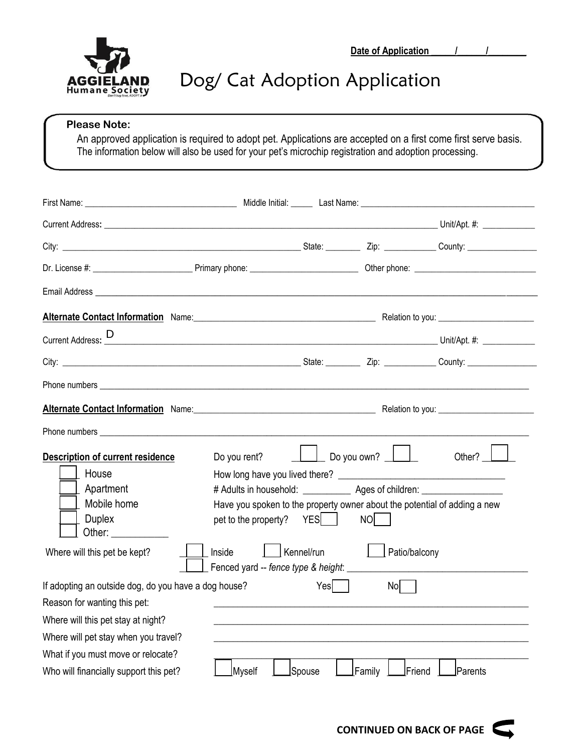

## Dog/ Cat Adoption Application

## **Please Note:**

An approved application is required to adopt pet. Applications are accepted on a first come first serve basis. The information below will also be used for your pet's microchip registration and adoption processing.

| Email Address National Address National Address National Address National Address National Address N                                                                                                                                |                                                                                  |        |                                    |         |
|-------------------------------------------------------------------------------------------------------------------------------------------------------------------------------------------------------------------------------------|----------------------------------------------------------------------------------|--------|------------------------------------|---------|
| <b>Alternate Contact Information</b> Name: Name: Name: Name and Alternative Contact Information Name: Network Contact Information Name: Name and Alternative Contact Information Name: Name and Alternative Contact Information Nam |                                                                                  |        |                                    |         |
|                                                                                                                                                                                                                                     |                                                                                  |        |                                    |         |
|                                                                                                                                                                                                                                     |                                                                                  |        |                                    |         |
|                                                                                                                                                                                                                                     |                                                                                  |        |                                    |         |
| <b>Alternate Contact Information</b> Name: Name: Name: Name and Alternative Control Relation to you: Nelation to you:                                                                                                               |                                                                                  |        |                                    |         |
|                                                                                                                                                                                                                                     |                                                                                  |        |                                    |         |
| <b>Description of current residence</b>                                                                                                                                                                                             | Do you rent?                                                                     |        | Do you own?                        | Other?  |
| House                                                                                                                                                                                                                               |                                                                                  |        |                                    |         |
| Apartment                                                                                                                                                                                                                           | # Adults in household: ______________ Ages of children: ________________________ |        |                                    |         |
| Mobile home                                                                                                                                                                                                                         | Have you spoken to the property owner about the potential of adding a new        |        |                                    |         |
| <b>Duplex</b><br>Other:                                                                                                                                                                                                             | pet to the property? YES                                                         |        | NO <b>NO</b>                       |         |
| Where will this pet be kept?                                                                                                                                                                                                        | $\vert$ Kennel/run<br>Inside                                                     |        | Patio/balcony                      |         |
| If adopting an outside dog, do you have a dog house?                                                                                                                                                                                |                                                                                  | Yesl I | Nol                                |         |
| Reason for wanting this pet:                                                                                                                                                                                                        |                                                                                  |        |                                    |         |
| Where will this pet stay at night?                                                                                                                                                                                                  |                                                                                  |        |                                    |         |
| Where will pet stay when you travel?                                                                                                                                                                                                |                                                                                  |        |                                    |         |
| What if you must move or relocate?                                                                                                                                                                                                  |                                                                                  |        |                                    |         |
| Who will financially support this pet?                                                                                                                                                                                              | Myself                                                                           | Spouse | Family $\;$ $\;$<br>$ $ Friend $ $ | Parents |